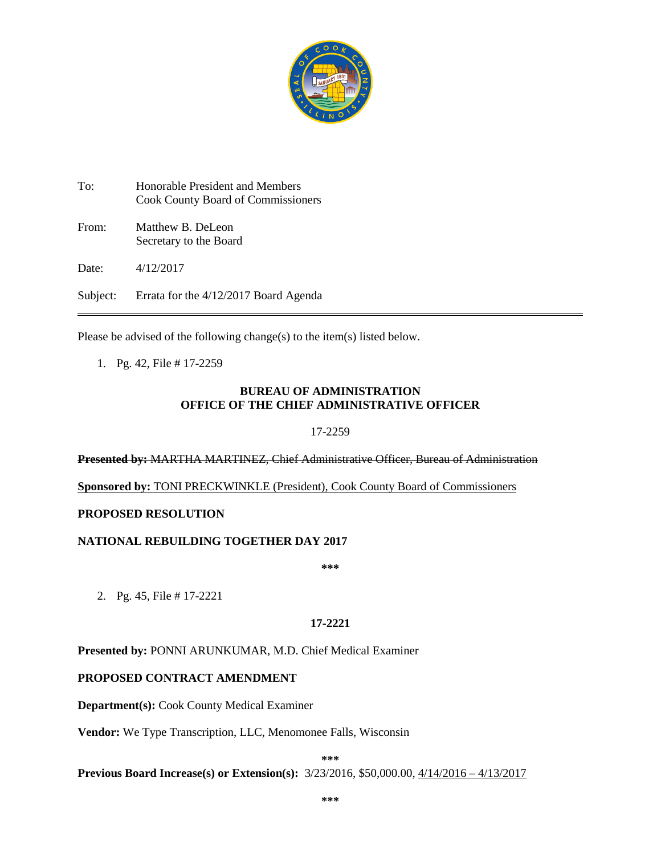

To: Honorable President and Members Cook County Board of Commissioners From: Matthew B. DeLeon Secretary to the Board Date: 4/12/2017

Subject: Errata for the 4/12/2017 Board Agenda

Please be advised of the following change(s) to the item(s) listed below.

1. Pg. 42, File # 17-2259

## **BUREAU OF ADMINISTRATION OFFICE OF THE CHIEF ADMINISTRATIVE OFFICER**

17-2259

**Presented by:** MARTHA MARTINEZ, Chief Administrative Officer, Bureau of Administration

**Sponsored by:** TONI PRECKWINKLE (President), Cook County Board of Commissioners

## **PROPOSED RESOLUTION**

#### **NATIONAL REBUILDING TOGETHER DAY 2017**

**\*\*\***

2. Pg. 45, File # 17-2221

**17-2221**

**Presented by:** PONNI ARUNKUMAR, M.D. Chief Medical Examiner

# **PROPOSED CONTRACT AMENDMENT**

**Department(s):** Cook County Medical Examiner

**Vendor:** We Type Transcription, LLC, Menomonee Falls, Wisconsin

**\*\*\***

**Previous Board Increase(s) or Extension(s):** 3/23/2016, \$50,000.00, 4/14/2016 – 4/13/2017